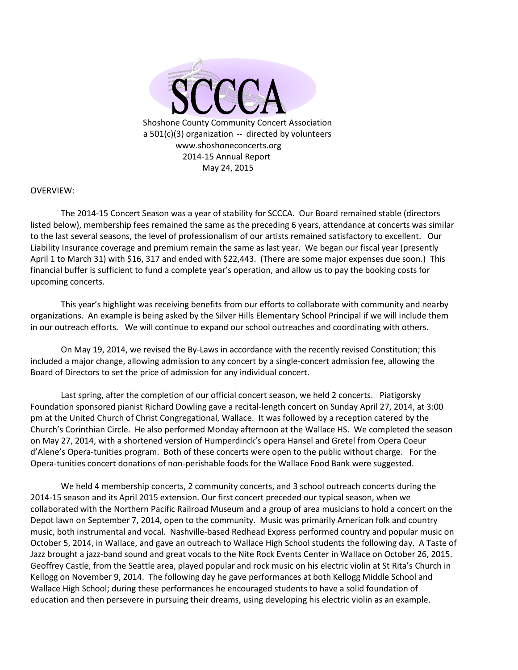

# OVERVIEW:

The 2014-15 Concert Season was a year of stability for SCCCA. Our Board remained stable (directors listed below), membership fees remained the same as the preceding 6 years, attendance at concerts was similar to the last several seasons, the level of professionalism of our artists remained satisfactory to excellent. Our Liability Insurance coverage and premium remain the same as last year. We began our fiscal year (presently April 1 to March 31) with \$16, 317 and ended with \$22,443. (There are some major expenses due soon.) This financial buffer is sufficient to fund a complete year's operation, and allow us to pay the booking costs for upcoming concerts.

This year's highlight was receiving benefits from our efforts to collaborate with community and nearby organizations. An example is being asked by the Silver Hills Elementary School Principal if we will include them in our outreach efforts. We will continue to expand our school outreaches and coordinating with others.

On May 19, 2014, we revised the By-Laws in accordance with the recently revised Constitution; this included a major change, allowing admission to any concert by a single-concert admission fee, allowing the Board of Directors to set the price of admission for any individual concert.

Last spring, after the completion of our official concert season, we held 2 concerts. Piatigorsky Foundation sponsored pianist Richard Dowling gave a recital-length concert on Sunday April 27, 2014, at 3:00 pm at the United Church of Christ Congregational, Wallace. It was followed by a reception catered by the Church's Corinthian Circle. He also performed Monday afternoon at the Wallace HS. We completed the season on May 27, 2014, with a shortened version of Humperdinck's opera Hansel and Gretel from Opera Coeur d'Alene's Opera-tunities program. Both of these concerts were open to the public without charge. For the Opera-tunities concert donations of non-perishable foods for the Wallace Food Bank were suggested.

We held 4 membership concerts, 2 community concerts, and 3 school outreach concerts during the 2014-15 season and its April 2015 extension. Our first concert preceded our typical season, when we collaborated with the Northern Pacific Railroad Museum and a group of area musicians to hold a concert on the Depot lawn on September 7, 2014, open to the community. Music was primarily American folk and country music, both instrumental and vocal. Nashville-based Redhead Express performed country and popular music on October 5, 2014, in Wallace, and gave an outreach to Wallace High School students the following day. A Taste of Jazz brought a jazz-band sound and great vocals to the Nite Rock Events Center in Wallace on October 26, 2015. Geoffrey Castle, from the Seattle area, played popular and rock music on his electric violin at St Rita's Church in Kellogg on November 9, 2014. The following day he gave performances at both Kellogg Middle School and Wallace High School; during these performances he encouraged students to have a solid foundation of education and then persevere in pursuing their dreams, using developing his electric violin as an example.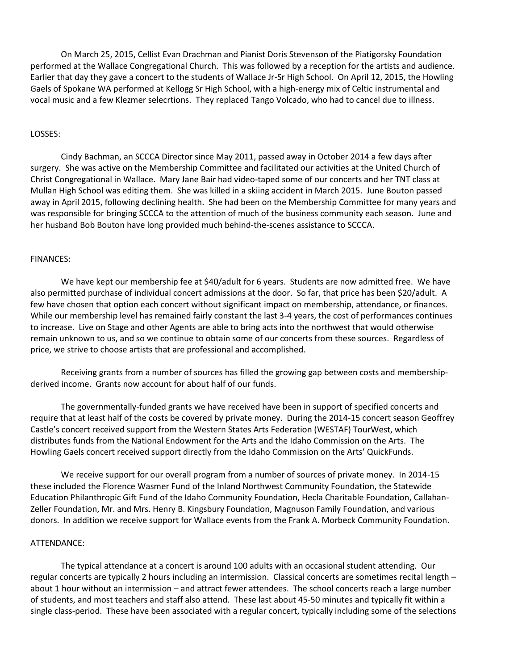On March 25, 2015, Cellist Evan Drachman and Pianist Doris Stevenson of the Piatigorsky Foundation performed at the Wallace Congregational Church. This was followed by a reception for the artists and audience. Earlier that day they gave a concert to the students of Wallace Jr-Sr High School. On April 12, 2015, the Howling Gaels of Spokane WA performed at Kellogg Sr High School, with a high-energy mix of Celtic instrumental and vocal music and a few Klezmer selecrtions. They replaced Tango Volcado, who had to cancel due to illness.

### LOSSES:

Cindy Bachman, an SCCCA Director since May 2011, passed away in October 2014 a few days after surgery. She was active on the Membership Committee and facilitated our activities at the United Church of Christ Congregational in Wallace. Mary Jane Bair had video-taped some of our concerts and her TNT class at Mullan High School was editing them. She was killed in a skiing accident in March 2015. June Bouton passed away in April 2015, following declining health. She had been on the Membership Committee for many years and was responsible for bringing SCCCA to the attention of much of the business community each season. June and her husband Bob Bouton have long provided much behind-the-scenes assistance to SCCCA.

#### FINANCES:

We have kept our membership fee at \$40/adult for 6 years. Students are now admitted free. We have also permitted purchase of individual concert admissions at the door. So far, that price has been \$20/adult. A few have chosen that option each concert without significant impact on membership, attendance, or finances. While our membership level has remained fairly constant the last 3-4 years, the cost of performances continues to increase. Live on Stage and other Agents are able to bring acts into the northwest that would otherwise remain unknown to us, and so we continue to obtain some of our concerts from these sources. Regardless of price, we strive to choose artists that are professional and accomplished.

Receiving grants from a number of sources has filled the growing gap between costs and membershipderived income. Grants now account for about half of our funds.

The governmentally-funded grants we have received have been in support of specified concerts and require that at least half of the costs be covered by private money. During the 2014-15 concert season Geoffrey Castle's concert received support from the Western States Arts Federation (WESTAF) TourWest, which distributes funds from the National Endowment for the Arts and the Idaho Commission on the Arts. The Howling Gaels concert received support directly from the Idaho Commission on the Arts' QuickFunds.

We receive support for our overall program from a number of sources of private money. In 2014-15 these included the Florence Wasmer Fund of the Inland Northwest Community Foundation, the Statewide Education Philanthropic Gift Fund of the Idaho Community Foundation, Hecla Charitable Foundation, Callahan-Zeller Foundation, Mr. and Mrs. Henry B. Kingsbury Foundation, Magnuson Family Foundation, and various donors. In addition we receive support for Wallace events from the Frank A. Morbeck Community Foundation.

### ATTENDANCE:

The typical attendance at a concert is around 100 adults with an occasional student attending. Our regular concerts are typically 2 hours including an intermission. Classical concerts are sometimes recital length – about 1 hour without an intermission – and attract fewer attendees. The school concerts reach a large number of students, and most teachers and staff also attend. These last about 45-50 minutes and typically fit within a single class-period. These have been associated with a regular concert, typically including some of the selections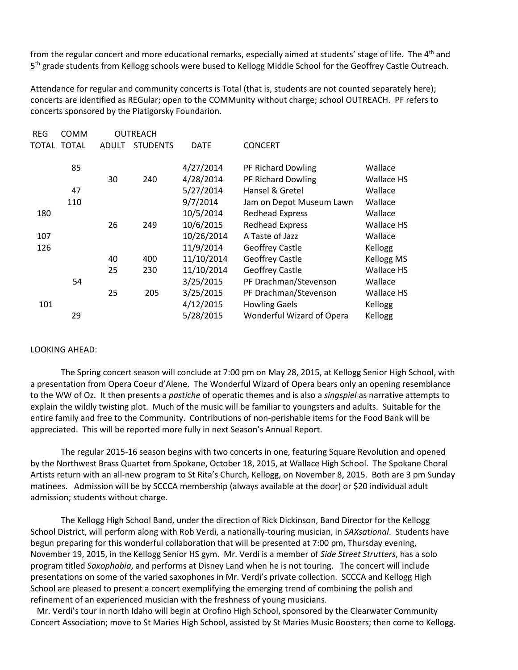from the regular concert and more educational remarks, especially aimed at students' stage of life. The 4<sup>th</sup> and 5<sup>th</sup> grade students from Kellogg schools were bused to Kellogg Middle School for the Geoffrey Castle Outreach.

Attendance for regular and community concerts is Total (that is, students are not counted separately here); concerts are identified as REGular; open to the COMMunity without charge; school OUTREACH. PF refers to concerts sponsored by the Piatigorsky Foundarion.

| <b>REG</b> | <b>COMM</b>  | OUTREACH     |                 |             |                           |            |
|------------|--------------|--------------|-----------------|-------------|---------------------------|------------|
| TOTAL      | <b>TOTAL</b> | <b>ADULT</b> | <b>STUDENTS</b> | <b>DATE</b> | <b>CONCERT</b>            |            |
|            | 85           |              |                 | 4/27/2014   | PF Richard Dowling        | Wallace    |
|            |              | 30           | 240             | 4/28/2014   | PF Richard Dowling        | Wallace HS |
|            | 47           |              |                 | 5/27/2014   | Hansel & Gretel           | Wallace    |
|            | 110          |              |                 | 9/7/2014    | Jam on Depot Museum Lawn  | Wallace    |
| 180        |              |              |                 | 10/5/2014   | <b>Redhead Express</b>    | Wallace    |
|            |              | 26           | 249             | 10/6/2015   | <b>Redhead Express</b>    | Wallace HS |
| 107        |              |              |                 | 10/26/2014  | A Taste of Jazz           | Wallace    |
| 126        |              |              |                 | 11/9/2014   | <b>Geoffrey Castle</b>    | Kellogg    |
|            |              | 40           | 400             | 11/10/2014  | <b>Geoffrey Castle</b>    | Kellogg MS |
|            |              | 25           | 230             | 11/10/2014  | <b>Geoffrey Castle</b>    | Wallace HS |
|            | 54           |              |                 | 3/25/2015   | PF Drachman/Stevenson     | Wallace    |
|            |              | 25           | 205             | 3/25/2015   | PF Drachman/Stevenson     | Wallace HS |
| 101        |              |              |                 | 4/12/2015   | <b>Howling Gaels</b>      | Kellogg    |
|            | 29           |              |                 | 5/28/2015   | Wonderful Wizard of Opera | Kellogg    |

## LOOKING AHEAD:

The Spring concert season will conclude at 7:00 pm on May 28, 2015, at Kellogg Senior High School, with a presentation from Opera Coeur d'Alene. The Wonderful Wizard of Opera bears only an opening resemblance to the WW of Oz. It then presents a *pastiche* of operatic themes and is also a *singspiel* as narrative attempts to explain the wildly twisting plot. Much of the music will be familiar to youngsters and adults. Suitable for the entire family and free to the Community. Contributions of non-perishable items for the Food Bank will be appreciated. This will be reported more fully in next Season's Annual Report.

The regular 2015-16 season begins with two concerts in one, featuring Square Revolution and opened by the Northwest Brass Quartet from Spokane, October 18, 2015, at Wallace High School. The Spokane Choral Artists return with an all-new program to St Rita's Church, Kellogg, on November 8, 2015. Both are 3 pm Sunday matinees. Admission will be by SCCCA membership (always available at the door) or \$20 individual adult admission; students without charge.

The Kellogg High School Band, under the direction of Rick Dickinson, Band Director for the Kellogg School District, will perform along with Rob Verdi, a nationally-touring musician, in *SAXsational*. Students have begun preparing for this wonderful collaboration that will be presented at 7:00 pm, Thursday evening, November 19, 2015, in the Kellogg Senior HS gym. Mr. Verdi is a member of *Side Street Strutters*, has a solo program titled *Saxophobia*, and performs at Disney Land when he is not touring. The concert will include presentations on some of the varied saxophones in Mr. Verdi's private collection. SCCCA and Kellogg High School are pleased to present a concert exemplifying the emerging trend of combining the polish and refinement of an experienced musician with the freshness of young musicians.

 Mr. Verdi's tour in north Idaho will begin at Orofino High School, sponsored by the Clearwater Community Concert Association; move to St Maries High School, assisted by St Maries Music Boosters; then come to Kellogg.